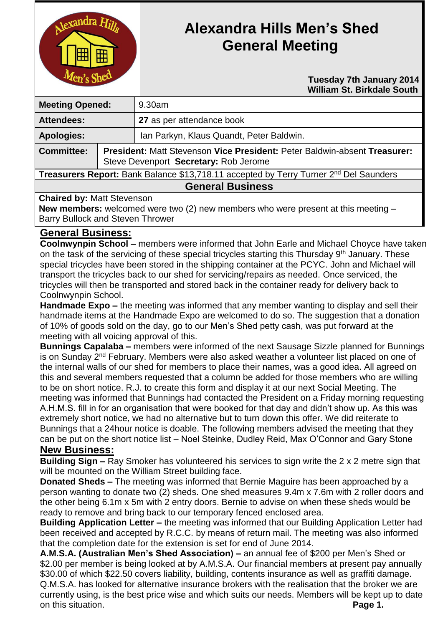

# **Alexandra Hills Men's Shed General Meeting**

 **Tuesday 7th January 2014 William St. Birkdale South** 

| <b>Meeting Opened:</b>                                                                |                                                                                                                    | 9.30am                                   |
|---------------------------------------------------------------------------------------|--------------------------------------------------------------------------------------------------------------------|------------------------------------------|
| <b>Attendees:</b>                                                                     |                                                                                                                    | 27 as per attendance book                |
| <b>Apologies:</b>                                                                     |                                                                                                                    | Ian Parkyn, Klaus Quandt, Peter Baldwin. |
| <b>Committee:</b>                                                                     | President: Matt Stevenson Vice President: Peter Baldwin-absent Treasurer:<br>Steve Devenport Secretary: Rob Jerome |                                          |
| Treasurers Report: Bank Balance \$13,718.11 accepted by Terry Turner 2nd Del Saunders |                                                                                                                    |                                          |
| <b>General Business</b>                                                               |                                                                                                                    |                                          |

#### **Chaired by:** Matt Stevenson

**New members:** welcomed were two (2) new members who were present at this meeting – Barry Bullock and Steven Thrower

### **General Business:**

**Coolnwynpin School –** members were informed that John Earle and Michael Choyce have taken on the task of the servicing of these special tricycles starting this Thursday 9<sup>th</sup> January. These special tricycles have been stored in the shipping container at the PCYC. John and Michael will transport the tricycles back to our shed for servicing/repairs as needed. Once serviced, the tricycles will then be transported and stored back in the container ready for delivery back to Coolnwynpin School.

**Handmade Expo –** the meeting was informed that any member wanting to display and sell their handmade items at the Handmade Expo are welcomed to do so. The suggestion that a donation of 10% of goods sold on the day, go to our Men's Shed petty cash, was put forward at the meeting with all voicing approval of this.

**Bunnings Capalaba –** members were informed of the next Sausage Sizzle planned for Bunnings is on Sunday 2<sup>nd</sup> February. Members were also asked weather a volunteer list placed on one of the internal walls of our shed for members to place their names, was a good idea. All agreed on this and several members requested that a column be added for those members who are willing to be on short notice. R.J. to create this form and display it at our next Social Meeting. The meeting was informed that Bunnings had contacted the President on a Friday morning requesting A.H.M.S. fill in for an organisation that were booked for that day and didn't show up. As this was extremely short notice, we had no alternative but to turn down this offer. We did reiterate to Bunnings that a 24hour notice is doable. The following members advised the meeting that they can be put on the short notice list – Noel Steinke, Dudley Reid, Max O'Connor and Gary Stone

#### **New Business:**

**Building Sign –** Ray Smoker has volunteered his services to sign write the 2 x 2 metre sign that will be mounted on the William Street building face.

**Donated Sheds –** The meeting was informed that Bernie Maguire has been approached by a person wanting to donate two (2) sheds. One shed measures 9.4m x 7.6m with 2 roller doors and the other being 6.1m x 5m with 2 entry doors. Bernie to advise on when these sheds would be ready to remove and bring back to our temporary fenced enclosed area.

**Building Application Letter –** the meeting was informed that our Building Application Letter had been received and accepted by R.C.C. by means of return mail. The meeting was also informed that the completion date for the extension is set for end of June 2014.

**A.M.S.A. (Australian Men's Shed Association) –** an annual fee of \$200 per Men's Shed or \$2.00 per member is being looked at by A.M.S.A. Our financial members at present pay annually \$30.00 of which \$22.50 covers liability, building, contents insurance as well as graffiti damage. Q.M.S.A. has looked for alternative insurance brokers with the realisation that the broker we are currently using, is the best price wise and which suits our needs. Members will be kept up to date on this situation. **Page 1.**